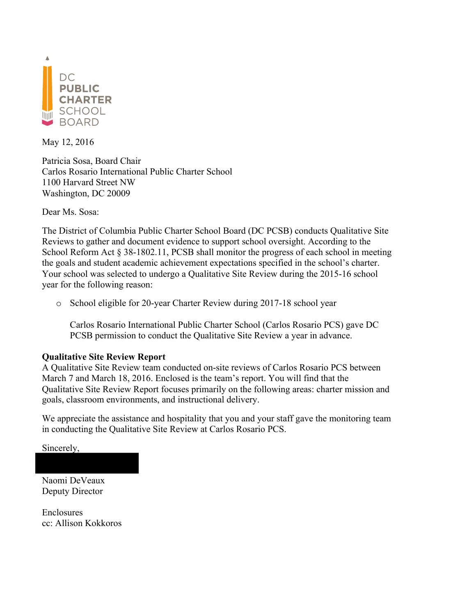

May 12, 2016

Patricia Sosa, Board Chair Carlos Rosario International Public Charter School 1100 Harvard Street NW Washington, DC 20009

Dear Ms. Sosa:

The District of Columbia Public Charter School Board (DC PCSB) conducts Qualitative Site Reviews to gather and document evidence to support school oversight. According to the School Reform Act § 38-1802.11, PCSB shall monitor the progress of each school in meeting the goals and student academic achievement expectations specified in the school's charter. Your school was selected to undergo a Qualitative Site Review during the 2015-16 school year for the following reason:

o School eligible for 20-year Charter Review during 2017-18 school year

Carlos Rosario International Public Charter School (Carlos Rosario PCS) gave DC PCSB permission to conduct the Qualitative Site Review a year in advance.

### **Qualitative Site Review Report**

A Qualitative Site Review team conducted on-site reviews of Carlos Rosario PCS between March 7 and March 18, 2016. Enclosed is the team's report. You will find that the Qualitative Site Review Report focuses primarily on the following areas: charter mission and goals, classroom environments, and instructional delivery.

We appreciate the assistance and hospitality that you and your staff gave the monitoring team in conducting the Qualitative Site Review at Carlos Rosario PCS.

Sincerely,

Naomi DeVeaux Deputy Director

Enclosures cc: Allison Kokkoros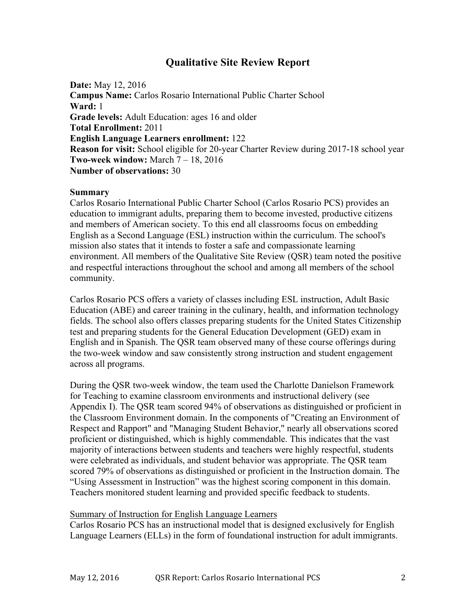## **Qualitative Site Review Report**

**Date:** May 12, 2016 **Campus Name:** Carlos Rosario International Public Charter School **Ward:** 1 **Grade levels:** Adult Education: ages 16 and older **Total Enrollment:** 2011 **English Language Learners enrollment:** 122 **Reason for visit:** School eligible for 20-year Charter Review during 2017-18 school year **Two-week window:** March 7 – 18, 2016 **Number of observations:** 30

#### **Summary**

Carlos Rosario International Public Charter School (Carlos Rosario PCS) provides an education to immigrant adults, preparing them to become invested, productive citizens and members of American society. To this end all classrooms focus on embedding English as a Second Language (ESL) instruction within the curriculum. The school's mission also states that it intends to foster a safe and compassionate learning environment. All members of the Qualitative Site Review (QSR) team noted the positive and respectful interactions throughout the school and among all members of the school community.

Carlos Rosario PCS offers a variety of classes including ESL instruction, Adult Basic Education (ABE) and career training in the culinary, health, and information technology fields. The school also offers classes preparing students for the United States Citizenship test and preparing students for the General Education Development (GED) exam in English and in Spanish. The QSR team observed many of these course offerings during the two-week window and saw consistently strong instruction and student engagement across all programs.

During the QSR two-week window, the team used the Charlotte Danielson Framework for Teaching to examine classroom environments and instructional delivery (see Appendix I). The QSR team scored 94% of observations as distinguished or proficient in the Classroom Environment domain. In the components of "Creating an Environment of Respect and Rapport" and "Managing Student Behavior," nearly all observations scored proficient or distinguished, which is highly commendable. This indicates that the vast majority of interactions between students and teachers were highly respectful, students were celebrated as individuals, and student behavior was appropriate. The QSR team scored 79% of observations as distinguished or proficient in the Instruction domain. The "Using Assessment in Instruction" was the highest scoring component in this domain. Teachers monitored student learning and provided specific feedback to students.

#### Summary of Instruction for English Language Learners

Carlos Rosario PCS has an instructional model that is designed exclusively for English Language Learners (ELLs) in the form of foundational instruction for adult immigrants.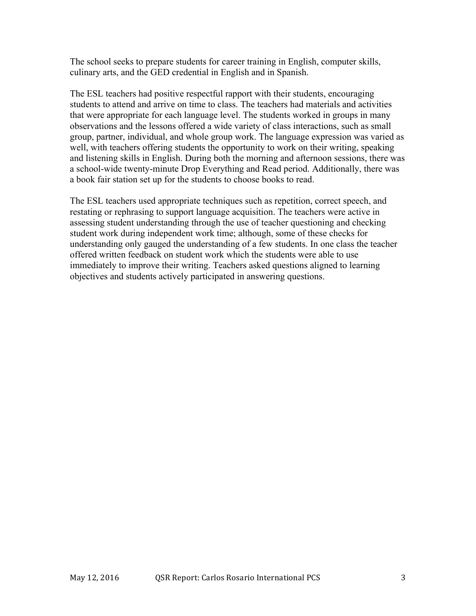The school seeks to prepare students for career training in English, computer skills, culinary arts, and the GED credential in English and in Spanish.

The ESL teachers had positive respectful rapport with their students, encouraging students to attend and arrive on time to class. The teachers had materials and activities that were appropriate for each language level. The students worked in groups in many observations and the lessons offered a wide variety of class interactions, such as small group, partner, individual, and whole group work. The language expression was varied as well, with teachers offering students the opportunity to work on their writing, speaking and listening skills in English. During both the morning and afternoon sessions, there was a school-wide twenty-minute Drop Everything and Read period. Additionally, there was a book fair station set up for the students to choose books to read.

The ESL teachers used appropriate techniques such as repetition, correct speech, and restating or rephrasing to support language acquisition. The teachers were active in assessing student understanding through the use of teacher questioning and checking student work during independent work time; although, some of these checks for understanding only gauged the understanding of a few students. In one class the teacher offered written feedback on student work which the students were able to use immediately to improve their writing. Teachers asked questions aligned to learning objectives and students actively participated in answering questions.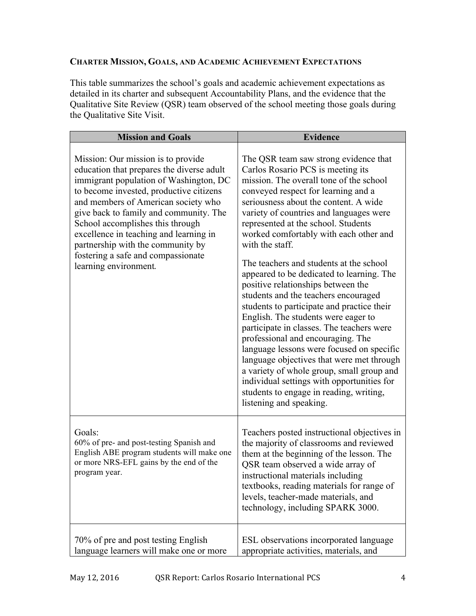### **CHARTER MISSION, GOALS, AND ACADEMIC ACHIEVEMENT EXPECTATIONS**

This table summarizes the school's goals and academic achievement expectations as detailed in its charter and subsequent Accountability Plans, and the evidence that the Qualitative Site Review (QSR) team observed of the school meeting those goals during the Qualitative Site Visit.

| <b>Mission and Goals</b>                                                                                                                                                                                                                                                                                                                                                  | <b>Evidence</b>                                                                                                                                                                                                                                                                                                                                                                                                                                                                                                                                                                                      |
|---------------------------------------------------------------------------------------------------------------------------------------------------------------------------------------------------------------------------------------------------------------------------------------------------------------------------------------------------------------------------|------------------------------------------------------------------------------------------------------------------------------------------------------------------------------------------------------------------------------------------------------------------------------------------------------------------------------------------------------------------------------------------------------------------------------------------------------------------------------------------------------------------------------------------------------------------------------------------------------|
| Mission: Our mission is to provide.<br>education that prepares the diverse adult<br>immigrant population of Washington, DC<br>to become invested, productive citizens<br>and members of American society who<br>give back to family and community. The<br>School accomplishes this through<br>excellence in teaching and learning in<br>partnership with the community by | The QSR team saw strong evidence that<br>Carlos Rosario PCS is meeting its<br>mission. The overall tone of the school<br>conveyed respect for learning and a<br>seriousness about the content. A wide<br>variety of countries and languages were<br>represented at the school. Students<br>worked comfortably with each other and<br>with the staff.                                                                                                                                                                                                                                                 |
| fostering a safe and compassionate<br>learning environment.                                                                                                                                                                                                                                                                                                               | The teachers and students at the school<br>appeared to be dedicated to learning. The<br>positive relationships between the<br>students and the teachers encouraged<br>students to participate and practice their<br>English. The students were eager to<br>participate in classes. The teachers were<br>professional and encouraging. The<br>language lessons were focused on specific<br>language objectives that were met through<br>a variety of whole group, small group and<br>individual settings with opportunities for<br>students to engage in reading, writing,<br>listening and speaking. |
| Goals:<br>60% of pre- and post-testing Spanish and<br>English ABE program students will make one<br>or more NRS-EFL gains by the end of the<br>program year.                                                                                                                                                                                                              | Teachers posted instructional objectives in<br>the majority of classrooms and reviewed<br>them at the beginning of the lesson. The<br>QSR team observed a wide array of<br>instructional materials including<br>textbooks, reading materials for range of<br>levels, teacher-made materials, and<br>technology, including SPARK 3000.                                                                                                                                                                                                                                                                |
| 70% of pre and post testing English<br>language learners will make one or more                                                                                                                                                                                                                                                                                            | ESL observations incorporated language<br>appropriate activities, materials, and                                                                                                                                                                                                                                                                                                                                                                                                                                                                                                                     |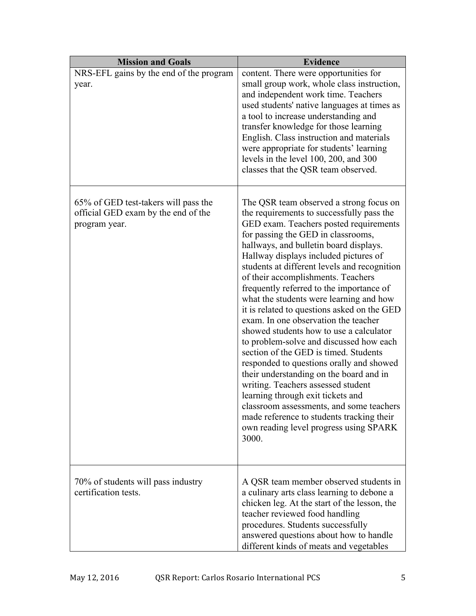| <b>Mission and Goals</b>                                                                     | <b>Evidence</b>                                                                                                                                                                                                                                                                                                                                                                                                                                                                                                                                                                                                                                                                                                                                                                                                                                                                                                                                                          |
|----------------------------------------------------------------------------------------------|--------------------------------------------------------------------------------------------------------------------------------------------------------------------------------------------------------------------------------------------------------------------------------------------------------------------------------------------------------------------------------------------------------------------------------------------------------------------------------------------------------------------------------------------------------------------------------------------------------------------------------------------------------------------------------------------------------------------------------------------------------------------------------------------------------------------------------------------------------------------------------------------------------------------------------------------------------------------------|
| NRS-EFL gains by the end of the program<br>year.                                             | content. There were opportunities for<br>small group work, whole class instruction,<br>and independent work time. Teachers<br>used students' native languages at times as<br>a tool to increase understanding and<br>transfer knowledge for those learning<br>English. Class instruction and materials<br>were appropriate for students' learning<br>levels in the level 100, 200, and 300<br>classes that the QSR team observed.                                                                                                                                                                                                                                                                                                                                                                                                                                                                                                                                        |
| 65% of GED test-takers will pass the<br>official GED exam by the end of the<br>program year. | The QSR team observed a strong focus on<br>the requirements to successfully pass the<br>GED exam. Teachers posted requirements<br>for passing the GED in classrooms,<br>hallways, and bulletin board displays.<br>Hallway displays included pictures of<br>students at different levels and recognition<br>of their accomplishments. Teachers<br>frequently referred to the importance of<br>what the students were learning and how<br>it is related to questions asked on the GED<br>exam. In one observation the teacher<br>showed students how to use a calculator<br>to problem-solve and discussed how each<br>section of the GED is timed. Students<br>responded to questions orally and showed<br>their understanding on the board and in<br>writing. Teachers assessed student<br>learning through exit tickets and<br>classroom assessments, and some teachers<br>made reference to students tracking their<br>own reading level progress using SPARK<br>3000. |
| 70% of students will pass industry<br>certification tests.                                   | A QSR team member observed students in<br>a culinary arts class learning to debone a<br>chicken leg. At the start of the lesson, the<br>teacher reviewed food handling<br>procedures. Students successfully<br>answered questions about how to handle<br>different kinds of meats and vegetables                                                                                                                                                                                                                                                                                                                                                                                                                                                                                                                                                                                                                                                                         |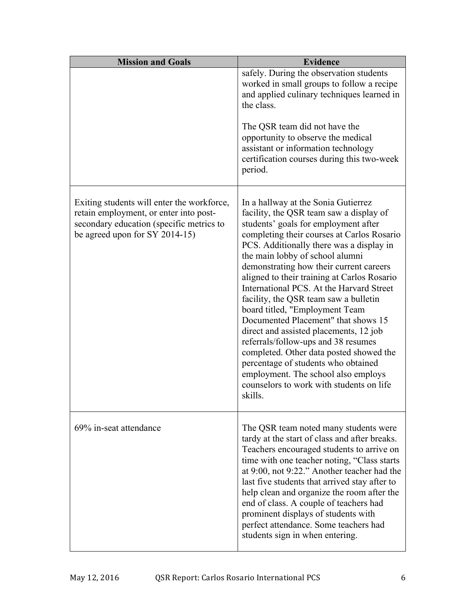| <b>Mission and Goals</b>                                                                                                                                           | <b>Evidence</b>                                                                                                                                                                                                                                                                                                                                                                                                                                                                                                                                                                                                                                                                                                                                                              |
|--------------------------------------------------------------------------------------------------------------------------------------------------------------------|------------------------------------------------------------------------------------------------------------------------------------------------------------------------------------------------------------------------------------------------------------------------------------------------------------------------------------------------------------------------------------------------------------------------------------------------------------------------------------------------------------------------------------------------------------------------------------------------------------------------------------------------------------------------------------------------------------------------------------------------------------------------------|
|                                                                                                                                                                    | safely. During the observation students<br>worked in small groups to follow a recipe<br>and applied culinary techniques learned in<br>the class.                                                                                                                                                                                                                                                                                                                                                                                                                                                                                                                                                                                                                             |
|                                                                                                                                                                    | The QSR team did not have the<br>opportunity to observe the medical<br>assistant or information technology<br>certification courses during this two-week<br>period.                                                                                                                                                                                                                                                                                                                                                                                                                                                                                                                                                                                                          |
| Exiting students will enter the workforce,<br>retain employment, or enter into post-<br>secondary education (specific metrics to<br>be agreed upon for SY 2014-15) | In a hallway at the Sonia Gutierrez<br>facility, the QSR team saw a display of<br>students' goals for employment after<br>completing their courses at Carlos Rosario<br>PCS. Additionally there was a display in<br>the main lobby of school alumni<br>demonstrating how their current careers<br>aligned to their training at Carlos Rosario<br>International PCS. At the Harvard Street<br>facility, the QSR team saw a bulletin<br>board titled, "Employment Team<br>Documented Placement" that shows 15<br>direct and assisted placements, 12 job<br>referrals/follow-ups and 38 resumes<br>completed. Other data posted showed the<br>percentage of students who obtained<br>employment. The school also employs<br>counselors to work with students on life<br>skills. |
| 69% in-seat attendance                                                                                                                                             | The QSR team noted many students were<br>tardy at the start of class and after breaks.<br>Teachers encouraged students to arrive on<br>time with one teacher noting, "Class starts<br>at 9:00, not 9:22." Another teacher had the<br>last five students that arrived stay after to<br>help clean and organize the room after the<br>end of class. A couple of teachers had<br>prominent displays of students with<br>perfect attendance. Some teachers had<br>students sign in when entering.                                                                                                                                                                                                                                                                                |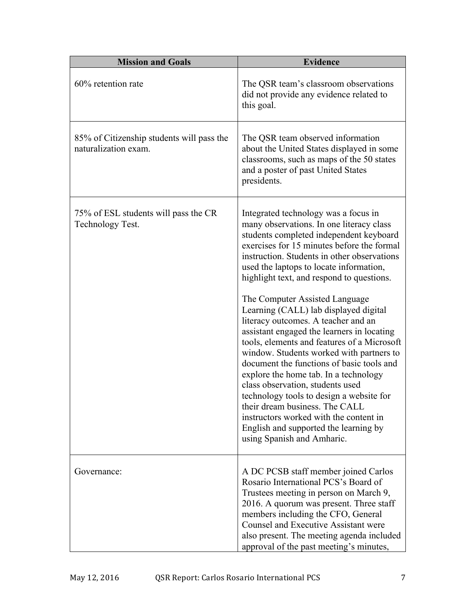| <b>Mission and Goals</b>                                          | <b>Evidence</b>                                                                                                                                                                                                                                                                                                                                                                                                                                                                                                                                                                                                                                                                                                                                                                                                                                                                                      |
|-------------------------------------------------------------------|------------------------------------------------------------------------------------------------------------------------------------------------------------------------------------------------------------------------------------------------------------------------------------------------------------------------------------------------------------------------------------------------------------------------------------------------------------------------------------------------------------------------------------------------------------------------------------------------------------------------------------------------------------------------------------------------------------------------------------------------------------------------------------------------------------------------------------------------------------------------------------------------------|
| 60% retention rate                                                | The QSR team's classroom observations<br>did not provide any evidence related to<br>this goal.                                                                                                                                                                                                                                                                                                                                                                                                                                                                                                                                                                                                                                                                                                                                                                                                       |
| 85% of Citizenship students will pass the<br>naturalization exam. | The QSR team observed information<br>about the United States displayed in some<br>classrooms, such as maps of the 50 states<br>and a poster of past United States<br>presidents.                                                                                                                                                                                                                                                                                                                                                                                                                                                                                                                                                                                                                                                                                                                     |
| 75% of ESL students will pass the CR<br>Technology Test.          | Integrated technology was a focus in<br>many observations. In one literacy class<br>students completed independent keyboard<br>exercises for 15 minutes before the formal<br>instruction. Students in other observations<br>used the laptops to locate information,<br>highlight text, and respond to questions.<br>The Computer Assisted Language<br>Learning (CALL) lab displayed digital<br>literacy outcomes. A teacher and an<br>assistant engaged the learners in locating<br>tools, elements and features of a Microsoft<br>window. Students worked with partners to<br>document the functions of basic tools and<br>explore the home tab. In a technology<br>class observation, students used<br>technology tools to design a website for<br>their dream business. The CALL<br>instructors worked with the content in<br>English and supported the learning by<br>using Spanish and Amharic. |
| Governance:                                                       | A DC PCSB staff member joined Carlos<br>Rosario International PCS's Board of<br>Trustees meeting in person on March 9,<br>2016. A quorum was present. Three staff<br>members including the CFO, General<br>Counsel and Executive Assistant were<br>also present. The meeting agenda included<br>approval of the past meeting's minutes,                                                                                                                                                                                                                                                                                                                                                                                                                                                                                                                                                              |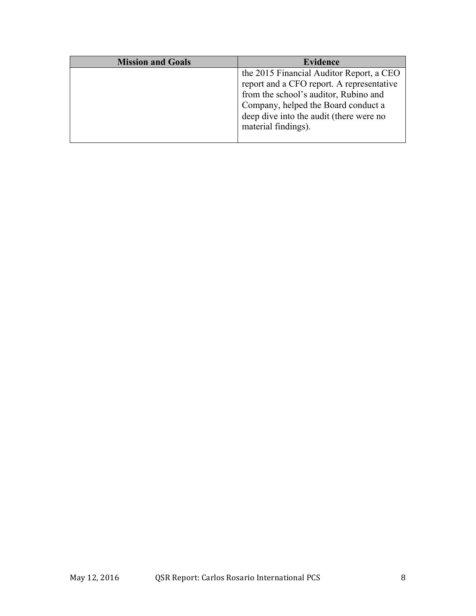| <b>Mission and Goals</b> | <b>Evidence</b>                           |
|--------------------------|-------------------------------------------|
|                          | the 2015 Financial Auditor Report, a CEO  |
|                          | report and a CFO report. A representative |
|                          | from the school's auditor, Rubino and     |
|                          | Company, helped the Board conduct a       |
|                          | deep dive into the audit (there were no   |
|                          | material findings).                       |
|                          |                                           |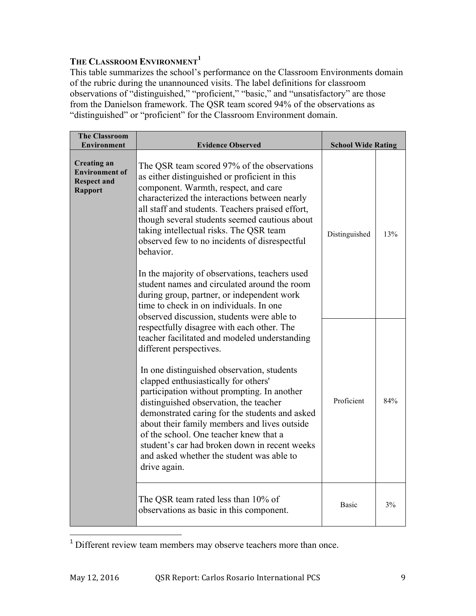# **THE CLASSROOM ENVIRONMENT<sup>1</sup>**

This table summarizes the school's performance on the Classroom Environments domain of the rubric during the unannounced visits. The label definitions for classroom observations of "distinguished," "proficient," "basic," and "unsatisfactory" are those from the Danielson framework. The QSR team scored 94% of the observations as "distinguished" or "proficient" for the Classroom Environment domain.

| <b>The Classroom</b><br>Environment                                                                                                 | <b>Evidence Observed</b>                                                                                                                                                                                                                                                                                                                                                                                                                                                                              | <b>School Wide Rating</b> |     |
|-------------------------------------------------------------------------------------------------------------------------------------|-------------------------------------------------------------------------------------------------------------------------------------------------------------------------------------------------------------------------------------------------------------------------------------------------------------------------------------------------------------------------------------------------------------------------------------------------------------------------------------------------------|---------------------------|-----|
| <b>Creating an</b><br><b>Environment of</b><br><b>Respect and</b><br><b>Rapport</b>                                                 | The QSR team scored 97% of the observations<br>as either distinguished or proficient in this<br>component. Warmth, respect, and care<br>characterized the interactions between nearly<br>all staff and students. Teachers praised effort,<br>though several students seemed cautious about<br>taking intellectual risks. The QSR team<br>observed few to no incidents of disrespectful<br>behavior.<br>In the majority of observations, teachers used<br>student names and circulated around the room | Distinguished             | 13% |
| during group, partner, or independent work<br>time to check in on individuals. In one<br>observed discussion, students were able to |                                                                                                                                                                                                                                                                                                                                                                                                                                                                                                       |                           |     |
|                                                                                                                                     | respectfully disagree with each other. The<br>teacher facilitated and modeled understanding<br>different perspectives.<br>In one distinguished observation, students                                                                                                                                                                                                                                                                                                                                  |                           |     |
|                                                                                                                                     | clapped enthusiastically for others'<br>participation without prompting. In another<br>distinguished observation, the teacher<br>demonstrated caring for the students and asked<br>about their family members and lives outside<br>of the school. One teacher knew that a<br>student's car had broken down in recent weeks<br>and asked whether the student was able to<br>drive again.                                                                                                               | Proficient                | 84% |
|                                                                                                                                     | The QSR team rated less than 10% of<br>observations as basic in this component.                                                                                                                                                                                                                                                                                                                                                                                                                       | Basic                     | 3%  |

<sup>&</sup>lt;sup>1</sup> Different review team members may observe teachers more than once.

<u> 1989 - Johann Stein, marwolaethau a bh</u>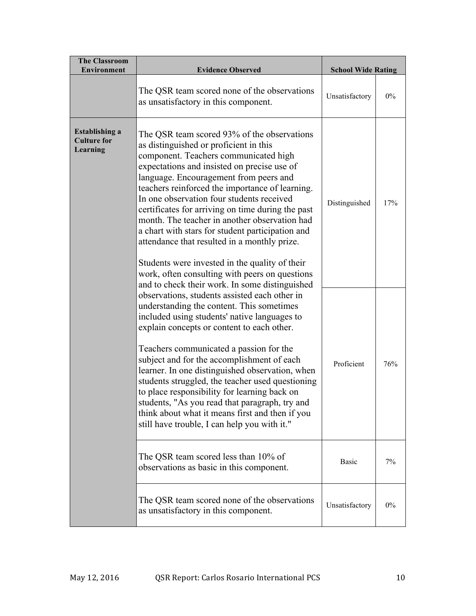| <b>The Classroom</b><br><b>Environment</b>              | <b>Evidence Observed</b>                                                                                                                                                                                                                                                                                                                                                                                                                                                                                                                                                                                                                                                                | <b>School Wide Rating</b> |       |
|---------------------------------------------------------|-----------------------------------------------------------------------------------------------------------------------------------------------------------------------------------------------------------------------------------------------------------------------------------------------------------------------------------------------------------------------------------------------------------------------------------------------------------------------------------------------------------------------------------------------------------------------------------------------------------------------------------------------------------------------------------------|---------------------------|-------|
|                                                         | The QSR team scored none of the observations<br>as unsatisfactory in this component.                                                                                                                                                                                                                                                                                                                                                                                                                                                                                                                                                                                                    | Unsatisfactory            | $0\%$ |
| <b>Establishing a</b><br><b>Culture for</b><br>Learning | The QSR team scored 93% of the observations<br>as distinguished or proficient in this<br>component. Teachers communicated high<br>expectations and insisted on precise use of<br>language. Encouragement from peers and<br>teachers reinforced the importance of learning.<br>In one observation four students received<br>certificates for arriving on time during the past<br>month. The teacher in another observation had<br>a chart with stars for student participation and<br>attendance that resulted in a monthly prize.<br>Students were invested in the quality of their<br>work, often consulting with peers on questions<br>and to check their work. In some distinguished | Distinguished             | 17%   |
|                                                         | observations, students assisted each other in<br>understanding the content. This sometimes<br>included using students' native languages to<br>explain concepts or content to each other.<br>Teachers communicated a passion for the<br>subject and for the accomplishment of each<br>learner. In one distinguished observation, when<br>students struggled, the teacher used questioning<br>to place responsibility for learning back on<br>students, "As you read that paragraph, try and<br>think about what it means first and then if you<br>still have trouble, I can help you with it."                                                                                           | Proficient                | 76%   |
|                                                         | The QSR team scored less than 10% of<br>observations as basic in this component.                                                                                                                                                                                                                                                                                                                                                                                                                                                                                                                                                                                                        | <b>Basic</b>              | 7%    |
|                                                         | The QSR team scored none of the observations<br>as unsatisfactory in this component.                                                                                                                                                                                                                                                                                                                                                                                                                                                                                                                                                                                                    | Unsatisfactory            | $0\%$ |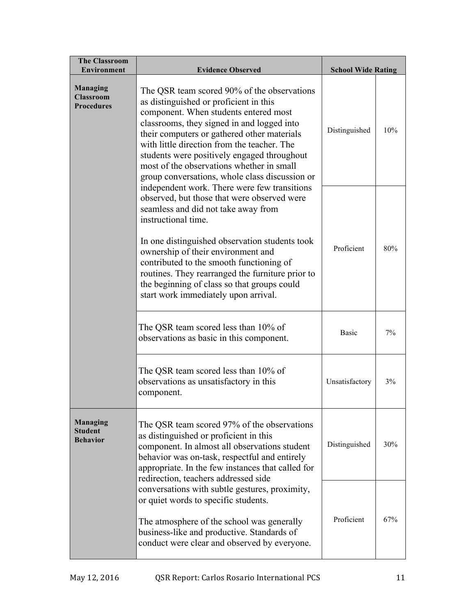| <b>The Classroom</b><br><b>Environment</b>           | <b>Evidence Observed</b>                                                                                                                                                                                                                                                                                                                                                                                                                 | <b>School Wide Rating</b> |     |
|------------------------------------------------------|------------------------------------------------------------------------------------------------------------------------------------------------------------------------------------------------------------------------------------------------------------------------------------------------------------------------------------------------------------------------------------------------------------------------------------------|---------------------------|-----|
| <b>Managing</b><br><b>Classroom</b><br>Procedures    | The QSR team scored 90% of the observations<br>as distinguished or proficient in this<br>component. When students entered most<br>classrooms, they signed in and logged into<br>their computers or gathered other materials<br>with little direction from the teacher. The<br>students were positively engaged throughout<br>most of the observations whether in small<br>group conversations, whole class discussion or                 | Distinguished             | 10% |
|                                                      | independent work. There were few transitions<br>observed, but those that were observed were<br>seamless and did not take away from<br>instructional time.<br>In one distinguished observation students took<br>ownership of their environment and<br>contributed to the smooth functioning of<br>routines. They rearranged the furniture prior to<br>the beginning of class so that groups could<br>start work immediately upon arrival. | Proficient                | 80% |
|                                                      | The QSR team scored less than 10% of<br>observations as basic in this component.                                                                                                                                                                                                                                                                                                                                                         | <b>Basic</b>              | 7%  |
|                                                      | The QSR team scored less than 10% of<br>observations as unsatisfactory in this<br>component.                                                                                                                                                                                                                                                                                                                                             | Unsatisfactory            | 3%  |
| <b>Managing</b><br><b>Student</b><br><b>Behavior</b> | The QSR team scored 97% of the observations<br>as distinguished or proficient in this<br>component. In almost all observations student<br>behavior was on-task, respectful and entirely<br>appropriate. In the few instances that called for<br>redirection, teachers addressed side                                                                                                                                                     | Distinguished             | 30% |
|                                                      | conversations with subtle gestures, proximity,<br>or quiet words to specific students.<br>The atmosphere of the school was generally<br>business-like and productive. Standards of<br>conduct were clear and observed by everyone.                                                                                                                                                                                                       | Proficient                | 67% |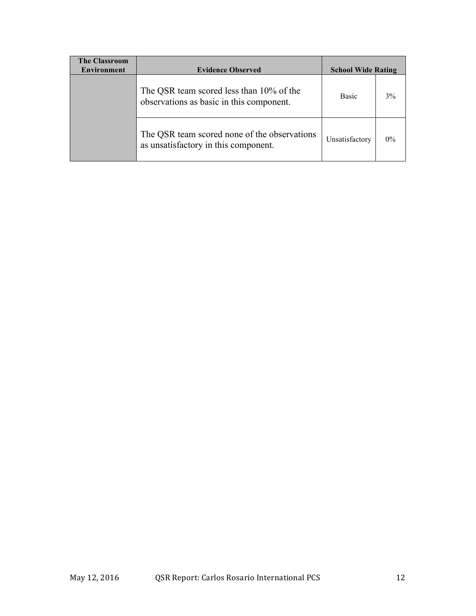| <b>The Classroom</b><br><b>Environment</b> | <b>Evidence Observed</b>                                                             | <b>School Wide Rating</b> |       |
|--------------------------------------------|--------------------------------------------------------------------------------------|---------------------------|-------|
|                                            | The QSR team scored less than 10% of the<br>observations as basic in this component. | <b>Basic</b>              | 3%    |
|                                            | The QSR team scored none of the observations<br>as unsatisfactory in this component. | Unsatisfactory            | $0\%$ |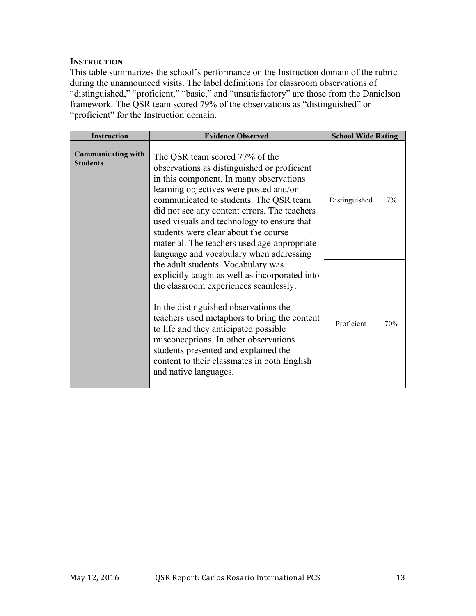### **INSTRUCTION**

This table summarizes the school's performance on the Instruction domain of the rubric during the unannounced visits. The label definitions for classroom observations of "distinguished," "proficient," "basic," and "unsatisfactory" are those from the Danielson framework. The QSR team scored 79% of the observations as "distinguished" or "proficient" for the Instruction domain.

| <b>Instruction</b>                           | <b>Evidence Observed</b>                                                                                                                                                                                                                                                                                                                                                                                                                     | <b>School Wide Rating</b> |     |
|----------------------------------------------|----------------------------------------------------------------------------------------------------------------------------------------------------------------------------------------------------------------------------------------------------------------------------------------------------------------------------------------------------------------------------------------------------------------------------------------------|---------------------------|-----|
| <b>Communicating with</b><br><b>Students</b> | The QSR team scored 77% of the<br>observations as distinguished or proficient<br>in this component. In many observations<br>learning objectives were posted and/or<br>communicated to students. The QSR team<br>did not see any content errors. The teachers<br>used visuals and technology to ensure that<br>students were clear about the course<br>material. The teachers used age-appropriate<br>language and vocabulary when addressing | Distinguished             | 7%  |
|                                              | the adult students. Vocabulary was<br>explicitly taught as well as incorporated into<br>the classroom experiences seamlessly.<br>In the distinguished observations the<br>teachers used metaphors to bring the content<br>to life and they anticipated possible<br>misconceptions. In other observations<br>students presented and explained the<br>content to their classmates in both English<br>and native languages.                     | Proficient                | 70% |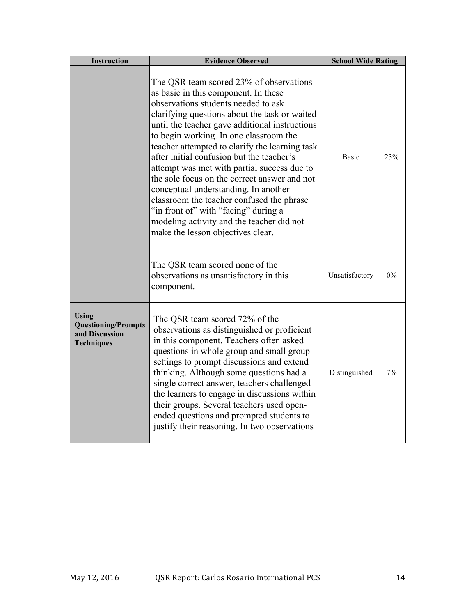| <b>Instruction</b>                                                                | <b>Evidence Observed</b>                                                                                                                                                                                                                                                                                                                                                                                                                                                                                                                                                                                                                                                         | <b>School Wide Rating</b> |       |
|-----------------------------------------------------------------------------------|----------------------------------------------------------------------------------------------------------------------------------------------------------------------------------------------------------------------------------------------------------------------------------------------------------------------------------------------------------------------------------------------------------------------------------------------------------------------------------------------------------------------------------------------------------------------------------------------------------------------------------------------------------------------------------|---------------------------|-------|
|                                                                                   | The QSR team scored 23% of observations<br>as basic in this component. In these<br>observations students needed to ask<br>clarifying questions about the task or waited<br>until the teacher gave additional instructions<br>to begin working. In one classroom the<br>teacher attempted to clarify the learning task<br>after initial confusion but the teacher's<br>attempt was met with partial success due to<br>the sole focus on the correct answer and not<br>conceptual understanding. In another<br>classroom the teacher confused the phrase<br>"in front of" with "facing" during a<br>modeling activity and the teacher did not<br>make the lesson objectives clear. | <b>Basic</b>              | 23%   |
|                                                                                   | The QSR team scored none of the<br>observations as unsatisfactory in this<br>component.                                                                                                                                                                                                                                                                                                                                                                                                                                                                                                                                                                                          | Unsatisfactory            | $0\%$ |
| <b>Using</b><br><b>Questioning/Prompts</b><br>and Discussion<br><b>Techniques</b> | The QSR team scored 72% of the<br>observations as distinguished or proficient<br>in this component. Teachers often asked<br>questions in whole group and small group<br>settings to prompt discussions and extend<br>thinking. Although some questions had a<br>single correct answer, teachers challenged<br>the learners to engage in discussions within<br>their groups. Several teachers used open-<br>ended questions and prompted students to<br>justify their reasoning. In two observations                                                                                                                                                                              | Distinguished             | 7%    |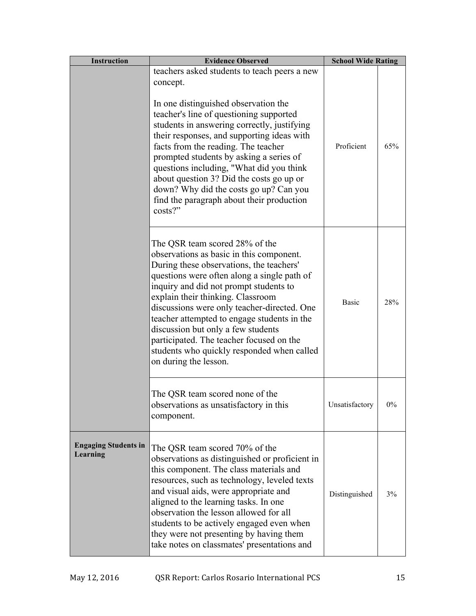| <b>Instruction</b>                      | <b>Evidence Observed</b>                                                                                                                                                                                                                                                                                                                                                                                                                                                                                             | <b>School Wide Rating</b> |       |
|-----------------------------------------|----------------------------------------------------------------------------------------------------------------------------------------------------------------------------------------------------------------------------------------------------------------------------------------------------------------------------------------------------------------------------------------------------------------------------------------------------------------------------------------------------------------------|---------------------------|-------|
|                                         | teachers asked students to teach peers a new<br>concept.<br>In one distinguished observation the<br>teacher's line of questioning supported<br>students in answering correctly, justifying<br>their responses, and supporting ideas with<br>facts from the reading. The teacher<br>prompted students by asking a series of<br>questions including, "What did you think<br>about question 3? Did the costs go up or<br>down? Why did the costs go up? Can you<br>find the paragraph about their production<br>costs?" | Proficient                | 65%   |
|                                         | The QSR team scored 28% of the<br>observations as basic in this component.<br>During these observations, the teachers'<br>questions were often along a single path of<br>inquiry and did not prompt students to<br>explain their thinking. Classroom<br>discussions were only teacher-directed. One<br>teacher attempted to engage students in the<br>discussion but only a few students<br>participated. The teacher focused on the<br>students who quickly responded when called<br>on during the lesson.          | <b>Basic</b>              | 28%   |
|                                         | The QSR team scored none of the<br>observations as unsatisfactory in this<br>component.                                                                                                                                                                                                                                                                                                                                                                                                                              | Unsatisfactory            | $0\%$ |
| <b>Engaging Students in</b><br>Learning | The QSR team scored 70% of the<br>observations as distinguished or proficient in<br>this component. The class materials and<br>resources, such as technology, leveled texts<br>and visual aids, were appropriate and<br>aligned to the learning tasks. In one<br>observation the lesson allowed for all<br>students to be actively engaged even when<br>they were not presenting by having them<br>take notes on classmates' presentations and                                                                       | Distinguished             | 3%    |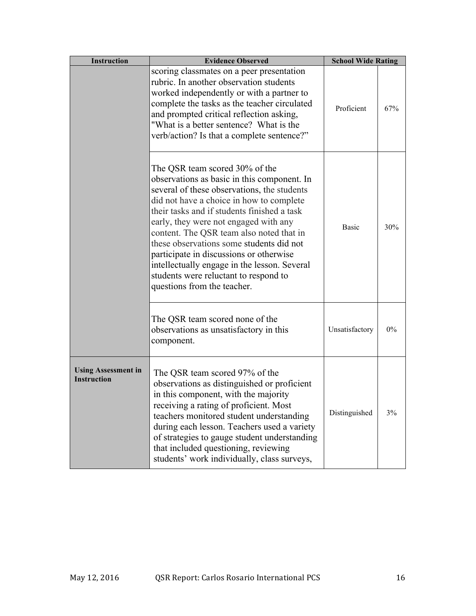| <b>Instruction</b>                               | <b>Evidence Observed</b>                                                                                                                                                                                                                                                                                                                                                                                                                                                                                                    | <b>School Wide Rating</b> |     |
|--------------------------------------------------|-----------------------------------------------------------------------------------------------------------------------------------------------------------------------------------------------------------------------------------------------------------------------------------------------------------------------------------------------------------------------------------------------------------------------------------------------------------------------------------------------------------------------------|---------------------------|-----|
|                                                  | scoring classmates on a peer presentation<br>rubric. In another observation students<br>worked independently or with a partner to<br>complete the tasks as the teacher circulated<br>and prompted critical reflection asking,<br>"What is a better sentence? What is the<br>verb/action? Is that a complete sentence?"                                                                                                                                                                                                      | Proficient                | 67% |
|                                                  | The QSR team scored 30% of the<br>observations as basic in this component. In<br>several of these observations, the students<br>did not have a choice in how to complete<br>their tasks and if students finished a task<br>early, they were not engaged with any<br>content. The QSR team also noted that in<br>these observations some students did not<br>participate in discussions or otherwise<br>intellectually engage in the lesson. Several<br>students were reluctant to respond to<br>questions from the teacher. | <b>Basic</b>              | 30% |
|                                                  | The QSR team scored none of the<br>observations as unsatisfactory in this<br>component.                                                                                                                                                                                                                                                                                                                                                                                                                                     | Unsatisfactory            | 0%  |
| <b>Using Assessment in</b><br><b>Instruction</b> | The QSR team scored 97% of the<br>observations as distinguished or proficient<br>in this component, with the majority<br>receiving a rating of proficient. Most<br>teachers monitored student understanding<br>during each lesson. Teachers used a variety<br>of strategies to gauge student understanding<br>that included questioning, reviewing<br>students' work individually, class surveys,                                                                                                                           | Distinguished             | 3%  |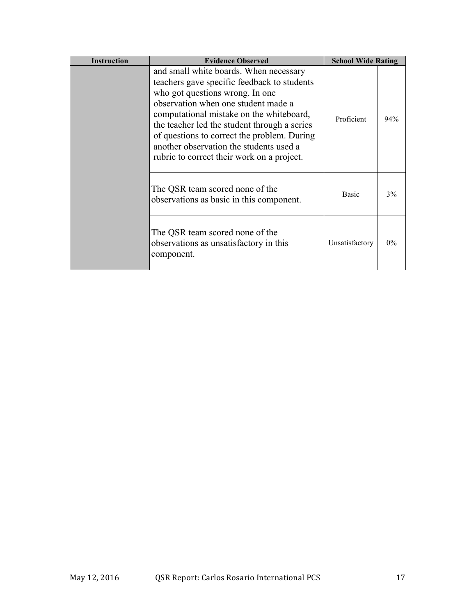| <b>Instruction</b> | <b>Evidence Observed</b>                                                                                                                                                                                                                                                                                                                                                                            | <b>School Wide Rating</b> |       |
|--------------------|-----------------------------------------------------------------------------------------------------------------------------------------------------------------------------------------------------------------------------------------------------------------------------------------------------------------------------------------------------------------------------------------------------|---------------------------|-------|
|                    | and small white boards. When necessary<br>teachers gave specific feedback to students<br>who got questions wrong. In one<br>observation when one student made a<br>computational mistake on the whiteboard,<br>the teacher led the student through a series<br>of questions to correct the problem. During<br>another observation the students used a<br>rubric to correct their work on a project. | Proficient                | 94%   |
|                    | The QSR team scored none of the<br>observations as basic in this component.                                                                                                                                                                                                                                                                                                                         | <b>Basic</b>              | 3%    |
|                    | The QSR team scored none of the<br>observations as unsatisfactory in this<br>component.                                                                                                                                                                                                                                                                                                             | Unsatisfactory            | $0\%$ |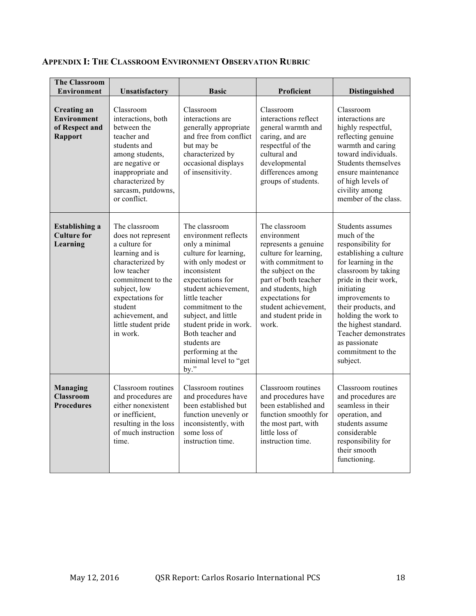| <b>The Classroom</b><br><b>Environment</b>                                   | Unsatisfactory                                                                                                                                                                                                                         | <b>Basic</b>                                                                                                                                                                                                                                                                                                                                          | <b>Proficient</b>                                                                                                                                                                                                                                    | <b>Distinguished</b>                                                                                                                                                                                                                                                                                                                    |
|------------------------------------------------------------------------------|----------------------------------------------------------------------------------------------------------------------------------------------------------------------------------------------------------------------------------------|-------------------------------------------------------------------------------------------------------------------------------------------------------------------------------------------------------------------------------------------------------------------------------------------------------------------------------------------------------|------------------------------------------------------------------------------------------------------------------------------------------------------------------------------------------------------------------------------------------------------|-----------------------------------------------------------------------------------------------------------------------------------------------------------------------------------------------------------------------------------------------------------------------------------------------------------------------------------------|
| <b>Creating an</b><br><b>Environment</b><br>of Respect and<br><b>Rapport</b> | Classroom<br>interactions, both<br>between the<br>teacher and<br>students and<br>among students,<br>are negative or<br>inappropriate and<br>characterized by<br>sarcasm, putdowns,<br>or conflict.                                     | Classroom<br>interactions are<br>generally appropriate<br>and free from conflict<br>but may be<br>characterized by<br>occasional displays<br>of insensitivity.                                                                                                                                                                                        | Classroom<br>interactions reflect<br>general warmth and<br>caring, and are<br>respectful of the<br>cultural and<br>developmental<br>differences among<br>groups of students.                                                                         | Classroom<br>interactions are<br>highly respectful,<br>reflecting genuine<br>warmth and caring<br>toward individuals.<br>Students themselves<br>ensure maintenance<br>of high levels of<br>civility among<br>member of the class.                                                                                                       |
| <b>Establishing a</b><br><b>Culture for</b><br>Learning                      | The classroom<br>does not represent<br>a culture for<br>learning and is<br>characterized by<br>low teacher<br>commitment to the<br>subject, low<br>expectations for<br>student<br>achievement, and<br>little student pride<br>in work. | The classroom<br>environment reflects<br>only a minimal<br>culture for learning,<br>with only modest or<br>inconsistent<br>expectations for<br>student achievement,<br>little teacher<br>commitment to the<br>subject, and little<br>student pride in work.<br>Both teacher and<br>students are<br>performing at the<br>minimal level to "get<br>by." | The classroom<br>environment<br>represents a genuine<br>culture for learning,<br>with commitment to<br>the subject on the<br>part of both teacher<br>and students, high<br>expectations for<br>student achievement,<br>and student pride in<br>work. | Students assumes<br>much of the<br>responsibility for<br>establishing a culture<br>for learning in the<br>classroom by taking<br>pride in their work,<br>initiating<br>improvements to<br>their products, and<br>holding the work to<br>the highest standard.<br>Teacher demonstrates<br>as passionate<br>commitment to the<br>subject. |
| <b>Managing</b><br><b>Classroom</b><br><b>Procedures</b>                     | Classroom routines<br>and procedures are<br>either nonexistent<br>or inefficient,<br>resulting in the loss<br>of much instruction<br>time.                                                                                             | Classroom routines<br>and procedures have<br>been established but<br>function unevenly or<br>inconsistently, with<br>some loss of<br>instruction time.                                                                                                                                                                                                | Classroom routines<br>and procedures have<br>been established and<br>function smoothly for<br>the most part, with<br>little loss of<br>instruction time.                                                                                             | Classroom routines<br>and procedures are<br>seamless in their<br>operation, and<br>students assume<br>considerable<br>responsibility for<br>their smooth<br>functioning.                                                                                                                                                                |

## **APPENDIX I: THE CLASSROOM ENVIRONMENT OBSERVATION RUBRIC**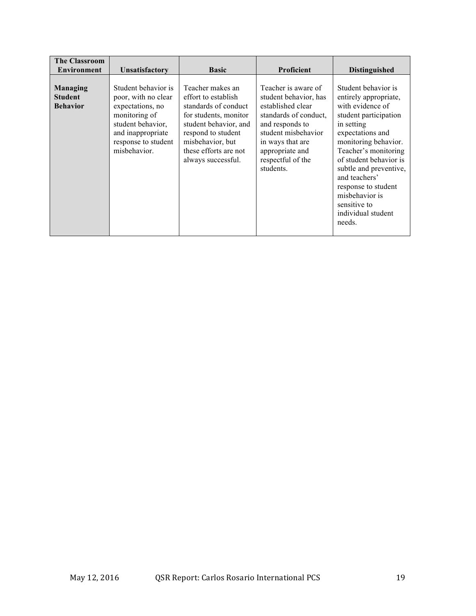| <b>The Classroom</b><br><b>Environment</b>           | <b>Unsatisfactory</b>                                                                                                                                            | <b>Basic</b>                                                                                                                                                                                               | <b>Proficient</b>                                                                                                                                                                                             | <b>Distinguished</b>                                                                                                                                                                                                                                                                                                                      |
|------------------------------------------------------|------------------------------------------------------------------------------------------------------------------------------------------------------------------|------------------------------------------------------------------------------------------------------------------------------------------------------------------------------------------------------------|---------------------------------------------------------------------------------------------------------------------------------------------------------------------------------------------------------------|-------------------------------------------------------------------------------------------------------------------------------------------------------------------------------------------------------------------------------------------------------------------------------------------------------------------------------------------|
| <b>Managing</b><br><b>Student</b><br><b>Behavior</b> | Student behavior is<br>poor, with no clear<br>expectations, no<br>monitoring of<br>student behavior,<br>and inappropriate<br>response to student<br>misbehavior. | Teacher makes an<br>effort to establish<br>standards of conduct<br>for students, monitor<br>student behavior, and<br>respond to student<br>misbehavior, but<br>these efforts are not<br>always successful. | Teacher is aware of<br>student behavior, has<br>established clear<br>standards of conduct.<br>and responds to<br>student misbehavior<br>in ways that are<br>appropriate and<br>respectful of the<br>students. | Student behavior is<br>entirely appropriate,<br>with evidence of<br>student participation<br>in setting<br>expectations and<br>monitoring behavior.<br>Teacher's monitoring<br>of student behavior is<br>subtle and preventive,<br>and teachers'<br>response to student<br>misbehavior is<br>sensitive to<br>individual student<br>needs. |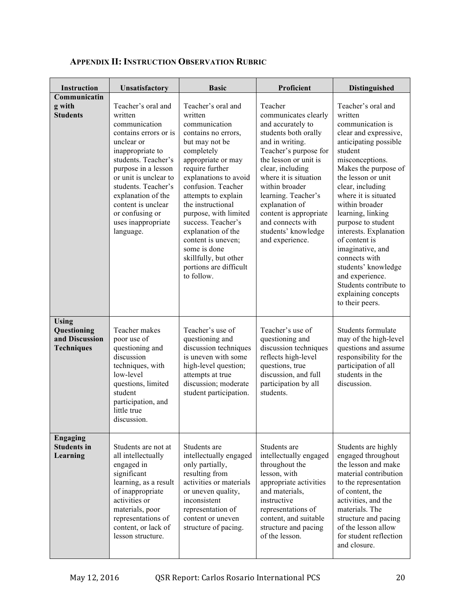| <b>Instruction</b>                                                 | Unsatisfactory                                                                                                                                                                                                                                                                                            | <b>Basic</b>                                                                                                                                                                                                                                                                                                                                                                                                          | Proficient                                                                                                                                                                                                                                                                                                                                         | Distinguished                                                                                                                                                                                                                                                                                                                                                                                                                                                                          |
|--------------------------------------------------------------------|-----------------------------------------------------------------------------------------------------------------------------------------------------------------------------------------------------------------------------------------------------------------------------------------------------------|-----------------------------------------------------------------------------------------------------------------------------------------------------------------------------------------------------------------------------------------------------------------------------------------------------------------------------------------------------------------------------------------------------------------------|----------------------------------------------------------------------------------------------------------------------------------------------------------------------------------------------------------------------------------------------------------------------------------------------------------------------------------------------------|----------------------------------------------------------------------------------------------------------------------------------------------------------------------------------------------------------------------------------------------------------------------------------------------------------------------------------------------------------------------------------------------------------------------------------------------------------------------------------------|
| Communicatin<br>g with<br><b>Students</b>                          | Teacher's oral and<br>written<br>communication<br>contains errors or is<br>unclear or<br>inappropriate to<br>students. Teacher's<br>purpose in a lesson<br>or unit is unclear to<br>students. Teacher's<br>explanation of the<br>content is unclear<br>or confusing or<br>uses inappropriate<br>language. | Teacher's oral and<br>written<br>communication<br>contains no errors,<br>but may not be<br>completely<br>appropriate or may<br>require further<br>explanations to avoid<br>confusion. Teacher<br>attempts to explain<br>the instructional<br>purpose, with limited<br>success. Teacher's<br>explanation of the<br>content is uneven;<br>some is done<br>skillfully, but other<br>portions are difficult<br>to follow. | Teacher<br>communicates clearly<br>and accurately to<br>students both orally<br>and in writing.<br>Teacher's purpose for<br>the lesson or unit is<br>clear, including<br>where it is situation<br>within broader<br>learning. Teacher's<br>explanation of<br>content is appropriate<br>and connects with<br>students' knowledge<br>and experience. | Teacher's oral and<br>written<br>communication is<br>clear and expressive,<br>anticipating possible<br>student<br>misconceptions.<br>Makes the purpose of<br>the lesson or unit<br>clear, including<br>where it is situated<br>within broader<br>learning, linking<br>purpose to student<br>interests. Explanation<br>of content is<br>imaginative, and<br>connects with<br>students' knowledge<br>and experience.<br>Students contribute to<br>explaining concepts<br>to their peers. |
| <b>Using</b><br>Questioning<br>and Discussion<br><b>Techniques</b> | Teacher makes<br>poor use of<br>questioning and<br>discussion<br>techniques, with<br>low-level<br>questions, limited<br>student<br>participation, and<br>little true<br>discussion.                                                                                                                       | Teacher's use of<br>questioning and<br>discussion techniques<br>is uneven with some<br>high-level question;<br>attempts at true<br>discussion; moderate<br>student participation.                                                                                                                                                                                                                                     | Teacher's use of<br>questioning and<br>discussion techniques<br>reflects high-level<br>questions, true<br>discussion, and full<br>participation by all<br>students.                                                                                                                                                                                | Students formulate<br>may of the high-level<br>questions and assume<br>responsibility for the<br>participation of all<br>students in the<br>discussion.                                                                                                                                                                                                                                                                                                                                |
| <b>Engaging</b><br><b>Students in</b><br>Learning                  | Students are not at<br>all intellectually<br>engaged in<br>significant<br>learning, as a result<br>of inappropriate<br>activities or<br>materials, poor<br>representations of<br>content, or lack of<br>lesson structure.                                                                                 | Students are<br>intellectually engaged<br>only partially,<br>resulting from<br>activities or materials<br>or uneven quality,<br>inconsistent<br>representation of<br>content or uneven<br>structure of pacing.                                                                                                                                                                                                        | Students are<br>intellectually engaged<br>throughout the<br>lesson, with<br>appropriate activities<br>and materials,<br>instructive<br>representations of<br>content, and suitable<br>structure and pacing<br>of the lesson.                                                                                                                       | Students are highly<br>engaged throughout<br>the lesson and make<br>material contribution<br>to the representation<br>of content, the<br>activities, and the<br>materials. The<br>structure and pacing<br>of the lesson allow<br>for student reflection<br>and closure.                                                                                                                                                                                                                |

# **APPENDIX II: INSTRUCTION OBSERVATION RUBRIC**